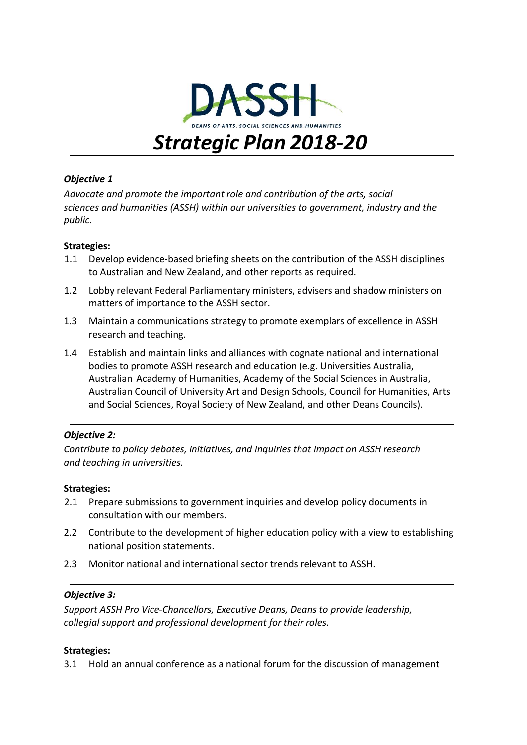

## *Objective 1*

*Advocate and promote the important role and contribution of the arts, social sciences and humanities (ASSH) within our universities to government, industry and the public.* 

### **Strategies:**

- 1.1 Develop evidence-based briefing sheets on the contribution of the ASSH disciplines to Australian and New Zealand, and other reports as required.
- 1.2 Lobby relevant Federal Parliamentary ministers, advisers and shadow ministers on matters of importance to the ASSH sector.
- 1.3 Maintain a communications strategy to promote exemplars of excellence in ASSH research and teaching.
- 1.4 Establish and maintain links and alliances with cognate national and international bodies to promote ASSH research and education (e.g. Universities Australia, Australian Academy of Humanities, Academy of the Social Sciences in Australia, Australian Council of University Art and Design Schools, Council for Humanities, Arts and Social Sciences, Royal Society of New Zealand, and other Deans Councils).

# *Objective 2:*

*Contribute to policy debates, initiatives, and inquiries that impact on ASSH research and teaching in universities.* 

### **Strategies:**

- 2.1 Prepare submissions to government inquiries and develop policy documents in consultation with our members.
- 2.2 Contribute to the development of higher education policy with a view to establishing national position statements.
- 2.3 Monitor national and international sector trends relevant to ASSH.

# *Objective 3:*

*Support ASSH Pro Vice-Chancellors, Executive Deans, Deans to provide leadership, collegial support and professional development for their roles.* 

### **Strategies:**

3.1 Hold an annual conference as a national forum for the discussion of management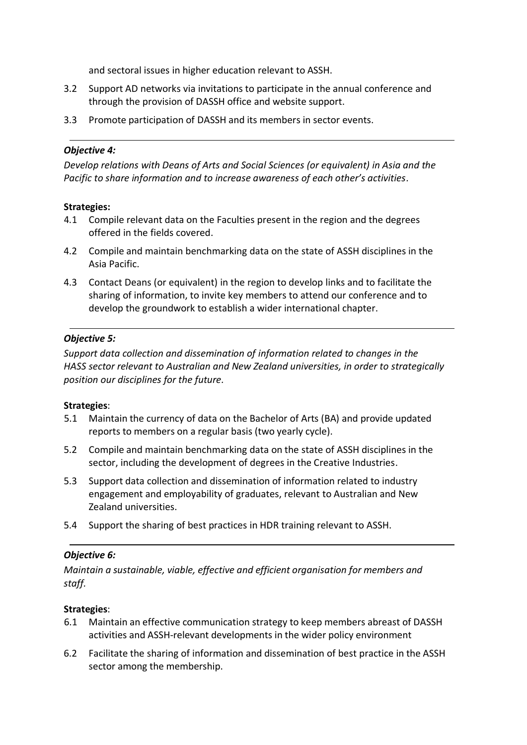and sectoral issues in higher education relevant to ASSH.

- 3.2 Support AD networks via invitations to participate in the annual conference and through the provision of DASSH office and website support.
- 3.3 Promote participation of DASSH and its members in sector events.

## *Objective 4:*

*Develop relations with Deans of Arts and Social Sciences (or equivalent) in Asia and the Pacific to share information and to increase awareness of each other's activities.* 

### **Strategies:**

- 4.1 Compile relevant data on the Faculties present in the region and the degrees offered in the fields covered.
- 4.2 Compile and maintain benchmarking data on the state of ASSH disciplines in the Asia Pacific.
- 4.3 Contact Deans (or equivalent) in the region to develop links and to facilitate the sharing of information, to invite key members to attend our conference and to develop the groundwork to establish a wider international chapter.

# *Objective 5:*

*Support data collection and dissemination of information related to changes in the HASS sector relevant to Australian and New Zealand universities, in order to strategically position our disciplines for the future.* 

### **Strategies**:

- 5.1 Maintain the currency of data on the Bachelor of Arts (BA) and provide updated reports to members on a regular basis (two yearly cycle).
- 5.2 Compile and maintain benchmarking data on the state of ASSH disciplines in the sector, including the development of degrees in the Creative Industries.
- 5.3 Support data collection and dissemination of information related to industry engagement and employability of graduates, relevant to Australian and New Zealand universities.
- 5.4 Support the sharing of best practices in HDR training relevant to ASSH.

### *Objective 6:*

*Maintain a sustainable, viable, effective and efficient organisation for members and staff.* 

### **Strategies**:

- 6.1 Maintain an effective communication strategy to keep members abreast of DASSH activities and ASSH-relevant developments in the wider policy environment
- 6.2 Facilitate the sharing of information and dissemination of best practice in the ASSH sector among the membership.